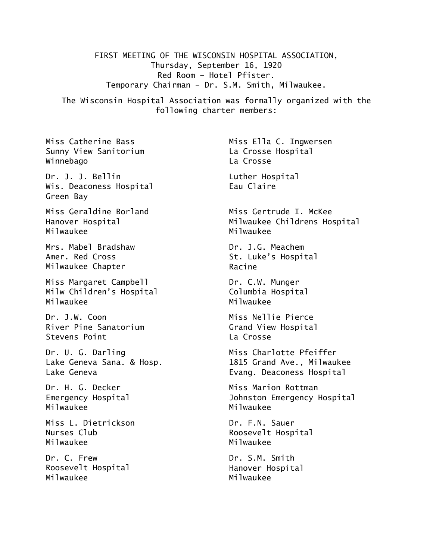FIRST MEETING OF THE WISCONSIN HOSPITAL ASSOCIATION, Thursday, September 16, 1920 Red Room – Hotel Pfister. Temporary Chairman – Dr. S.M. Smith, Milwaukee.

The Wisconsin Hospital Association was formally organized with the following charter members:

Miss Catherine Bass Sunny View Sanitorium Winnebago

Dr. J. J. Bellin Wis. Deaconess Hospital Green Bay

Miss Geraldine Borland Hanover Hospital Milwaukee

Mrs. Mabel Bradshaw Amer. Red Cross Milwaukee Chapter

Miss Margaret Campbell Milw Children's Hospital Milwaukee

Dr. J.W. Coon River Pine Sanatorium Stevens Point

Dr. U. G. Darling Lake Geneva Sana. & Hosp. Lake Geneva

Dr. H. G. Decker Emergency Hospital Milwaukee

Miss L. Dietrickson Nurses Club Milwaukee

Dr. C. Frew Roosevelt Hospital Milwaukee

Miss Ella C. Ingwersen La Crosse Hospital La Crosse

Luther Hospital Eau Claire

Miss Gertrude I. McKee Milwaukee Childrens Hospital Milwaukee

Dr. J.G. Meachem St. Luke's Hospital Racine

Dr. C.W. Munger Columbia Hospital Milwaukee

Miss Nellie Pierce Grand View Hospital La Crosse

Miss Charlotte Pfeiffer 1815 Grand Ave., Milwaukee Evang. Deaconess Hospital

Miss Marion Rottman Johnston Emergency Hospital Milwaukee

Dr. F.N. Sauer Roosevelt Hospital Milwaukee

Dr. S.M. Smith Hanover Hospital Milwaukee